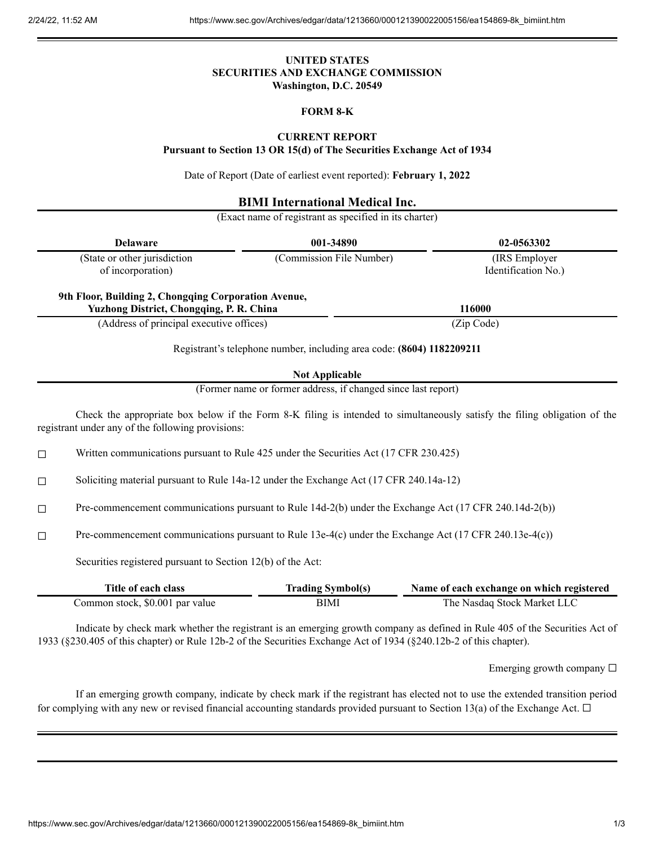## **UNITED STATES SECURITIES AND EXCHANGE COMMISSION Washington, D.C. 20549**

## **FORM 8-K**

## **CURRENT REPORT**

**Pursuant to Section 13 OR 15(d) of The Securities Exchange Act of 1934**

Date of Report (Date of earliest event reported): **February 1, 2022**

## **BIMI International Medical Inc.**

(Exact name of registrant as specified in its charter)

| <b>Delaware</b>                                                                                         | 001-34890                                                             | 02-0563302                            |
|---------------------------------------------------------------------------------------------------------|-----------------------------------------------------------------------|---------------------------------------|
| (State or other jurisdiction<br>of incorporation)                                                       | (Commission File Number)                                              | (IRS Employer)<br>Identification No.) |
| 9th Floor, Building 2, Chongqing Corporation Avenue,<br><b>Yuzhong District, Chongqing, P. R. China</b> |                                                                       | 116000                                |
| (Address of principal executive offices)                                                                |                                                                       | (Zip Code)                            |
|                                                                                                         | Registrant's telephone number, including area code: (8604) 1182209211 |                                       |
|                                                                                                         | <b>Not Applicable</b>                                                 |                                       |
|                                                                                                         | (Former name or former address, if changed since last report)         |                                       |

(Former name or former address, if changed since last report)

Check the appropriate box below if the Form 8-K filing is intended to simultaneously satisfy the filing obligation of the registrant under any of the following provisions:

 $\Box$  Written communications pursuant to Rule 425 under the Securities Act (17 CFR 230.425)

☐ Soliciting material pursuant to Rule 14a-12 under the Exchange Act (17 CFR 240.14a-12)

☐ Pre-commencement communications pursuant to Rule 14d-2(b) under the Exchange Act (17 CFR 240.14d-2(b))

☐ Pre-commencement communications pursuant to Rule 13e-4(c) under the Exchange Act (17 CFR 240.13e-4(c))

Securities registered pursuant to Section 12(b) of the Act:

| Title of each class             | <b>Trading Symbol(s)</b> | Name of each exchange on which registered |
|---------------------------------|--------------------------|-------------------------------------------|
| Common stock, \$0.001 par value | BIMI                     | The Nasdaq Stock Market LLC               |

Indicate by check mark whether the registrant is an emerging growth company as defined in Rule 405 of the Securities Act of 1933 (§230.405 of this chapter) or Rule 12b-2 of the Securities Exchange Act of 1934 (§240.12b-2 of this chapter).

Emerging growth company  $\Box$ 

If an emerging growth company, indicate by check mark if the registrant has elected not to use the extended transition period for complying with any new or revised financial accounting standards provided pursuant to Section 13(a) of the Exchange Act.  $\Box$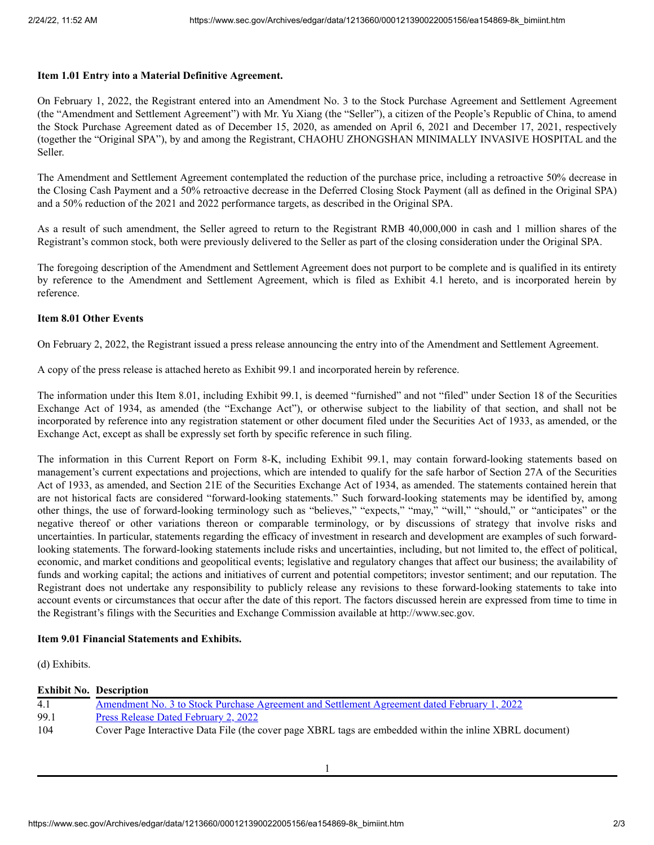#### **Item 1.01 Entry into a Material Definitive Agreement.**

On February 1, 2022, the Registrant entered into an Amendment No. 3 to the Stock Purchase Agreement and Settlement Agreement (the "Amendment and Settlement Agreement") with Mr. Yu Xiang (the "Seller"), a citizen of the People's Republic of China, to amend the Stock Purchase Agreement dated as of December 15, 2020, as amended on April 6, 2021 and December 17, 2021, respectively (together the "Original SPA"), by and among the Registrant, CHAOHU ZHONGSHAN MINIMALLY INVASIVE HOSPITAL and the Seller.

The Amendment and Settlement Agreement contemplated the reduction of the purchase price, including a retroactive 50% decrease in the Closing Cash Payment and a 50% retroactive decrease in the Deferred Closing Stock Payment (all as defined in the Original SPA) and a 50% reduction of the 2021 and 2022 performance targets, as described in the Original SPA.

As a result of such amendment, the Seller agreed to return to the Registrant RMB 40,000,000 in cash and 1 million shares of the Registrant's common stock, both were previously delivered to the Seller as part of the closing consideration under the Original SPA.

The foregoing description of the Amendment and Settlement Agreement does not purport to be complete and is qualified in its entirety by reference to the Amendment and Settlement Agreement, which is filed as Exhibit 4.1 hereto, and is incorporated herein by reference.

#### **Item 8.01 Other Events**

On February 2, 2022, the Registrant issued a press release announcing the entry into of the Amendment and Settlement Agreement.

A copy of the press release is attached hereto as Exhibit 99.1 and incorporated herein by reference.

The information under this Item 8.01, including Exhibit 99.1, is deemed "furnished" and not "filed" under Section 18 of the Securities Exchange Act of 1934, as amended (the "Exchange Act"), or otherwise subject to the liability of that section, and shall not be incorporated by reference into any registration statement or other document filed under the Securities Act of 1933, as amended, or the Exchange Act, except as shall be expressly set forth by specific reference in such filing.

The information in this Current Report on Form 8-K, including Exhibit 99.1, may contain forward-looking statements based on management's current expectations and projections, which are intended to qualify for the safe harbor of Section 27A of the Securities Act of 1933, as amended, and Section 21E of the Securities Exchange Act of 1934, as amended. The statements contained herein that are not historical facts are considered "forward-looking statements." Such forward-looking statements may be identified by, among other things, the use of forward-looking terminology such as "believes," "expects," "may," "will," "should," or "anticipates" or the negative thereof or other variations thereon or comparable terminology, or by discussions of strategy that involve risks and uncertainties. In particular, statements regarding the efficacy of investment in research and development are examples of such forwardlooking statements. The forward-looking statements include risks and uncertainties, including, but not limited to, the effect of political, economic, and market conditions and geopolitical events; legislative and regulatory changes that affect our business; the availability of funds and working capital; the actions and initiatives of current and potential competitors; investor sentiment; and our reputation. The Registrant does not undertake any responsibility to publicly release any revisions to these forward-looking statements to take into account events or circumstances that occur after the date of this report. The factors discussed herein are expressed from time to time in the Registrant's filings with the Securities and Exchange Commission available at http://www.sec.gov.

#### **Item 9.01 Financial Statements and Exhibits.**

(d) Exhibits.

#### **Exhibit No. Description**

| 4.1  | <u>Amendment No. 3 to Stock Purchase Agreement and Settlement Agreement dated February 1, 2022</u>       |
|------|----------------------------------------------------------------------------------------------------------|
| 99.1 | <u>Press Release Dated February 2, 2022</u>                                                              |
| 104  | Cover Page Interactive Data File (the cover page XBRL tags are embedded within the inline XBRL document) |